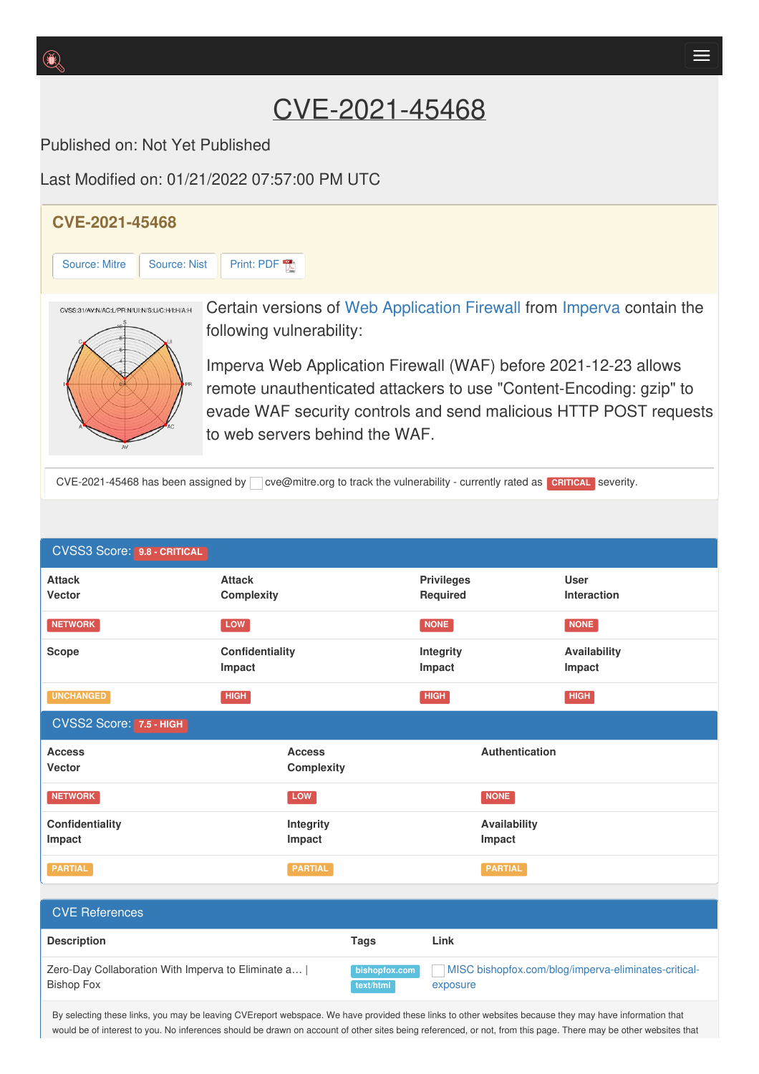Published on: Not Yet Published

Last Modified on: 01/21/2022 07:57:00 PM UTC



CVE-2021-45468 has been assigned by cve@mitre.org to track the vulnerability - currently rated as **CRITICAL** severity.

| <b>CVSS3 Score: 9.8 - CRITICAL</b>                                        |                             |                                                      |                                                      |                            |  |
|---------------------------------------------------------------------------|-----------------------------|------------------------------------------------------|------------------------------------------------------|----------------------------|--|
| <b>Attack</b><br>Vector                                                   | <b>Attack</b><br>Complexity |                                                      | <b>Privileges</b><br>Required                        | <b>User</b><br>Interaction |  |
| <b>NETWORK</b>                                                            | <b>LOW</b>                  |                                                      | <b>NONE</b>                                          | <b>NONE</b>                |  |
| <b>Scope</b>                                                              | Confidentiality<br>Impact   |                                                      | <b>Integrity</b><br>Impact                           | Availability<br>Impact     |  |
| <b>UNCHANGED</b>                                                          | <b>HIGH</b>                 |                                                      | <b>HIGH</b>                                          | <b>HIGH</b>                |  |
| CVSS2 Score: 7.5 - HIGH                                                   |                             |                                                      |                                                      |                            |  |
| <b>Access</b><br><b>Vector</b>                                            |                             | Authentication<br><b>Access</b><br><b>Complexity</b> |                                                      |                            |  |
| <b>NETWORK</b>                                                            | LOW                         |                                                      | <b>NONE</b>                                          |                            |  |
| Confidentiality<br>Impact                                                 | Integrity<br>Impact         |                                                      | Impact                                               | Availability               |  |
| <b>PARTIAL</b>                                                            | <b>PARTIAL</b>              |                                                      | <b>PARTIAL</b>                                       |                            |  |
|                                                                           |                             |                                                      |                                                      |                            |  |
| <b>CVE References</b>                                                     |                             |                                                      |                                                      |                            |  |
| <b>Description</b>                                                        |                             | <b>Tags</b>                                          | Link                                                 |                            |  |
| Zero-Day Collaboration With Imperva to Eliminate a  <br><b>Bishop Fox</b> | bishopfox.com<br>text/html  | exposure                                             | MISC bishopfox.com/blog/imperva-eliminates-critical- |                            |  |

By selecting these links, you may be leaving CVEreport webspace. We have provided these links to other websites because they may have information that would be of interest to you. No inferences should be drawn on account of other sites being referenced, or not, from this page. There may be other websites that